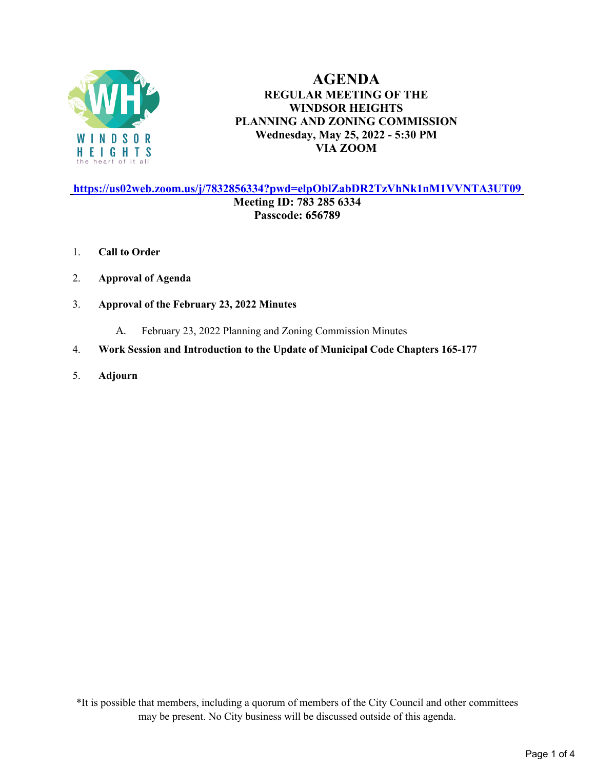

#### **AGENDA REGULAR MEETING OF THE WINDSOR HEIGHTS PLANNING AND ZONING COMMISSION Wednesday, May 25, 2022 - 5:30 PM VIA ZOOM**

#### **<https://us02web.zoom.us/j/7832856334?pwd=elpOblZabDR2TzVhNk1nM1VVNTA3UT09> Meeting ID: 783 285 6334 Passcode: 656789**

- 1. **Call to Order**
- 2. **Approval of Agenda**
- 3. **Approval of the February 23, 2022 Minutes** 
	- A. February 23, 2022 Planning and Zoning Commission Minutes
- 4. **Work Session and Introduction to the Update of Municipal Code Chapters 165-177**
- 5. **Adjourn**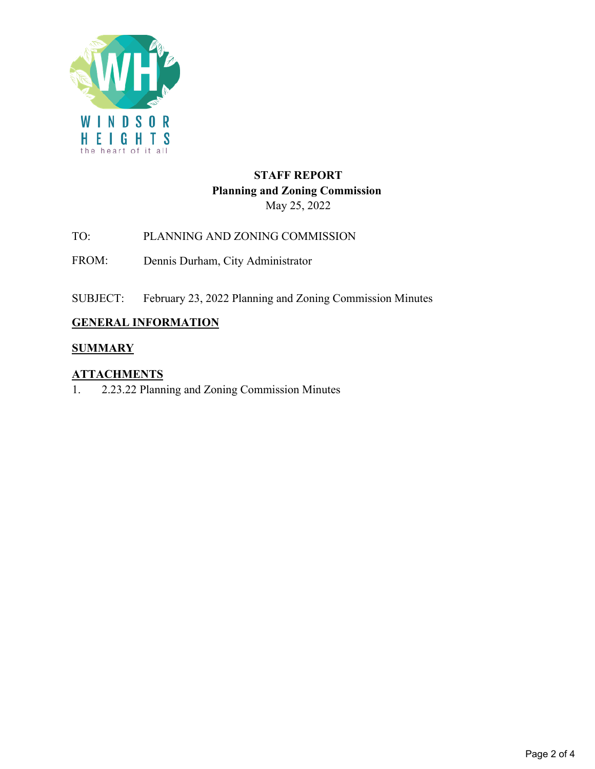

# **STAFF REPORT Planning and Zoning Commission**

May 25, 2022

TO: PLANNING AND ZONING COMMISSION

FROM: Dennis Durham, City Administrator

SUBJECT: February 23, 2022 Planning and Zoning Commission Minutes

### **GENERAL INFORMATION**

#### **SUMMARY**

### **ATTACHMENTS**

1. 2.23.22 Planning and Zoning Commission Minutes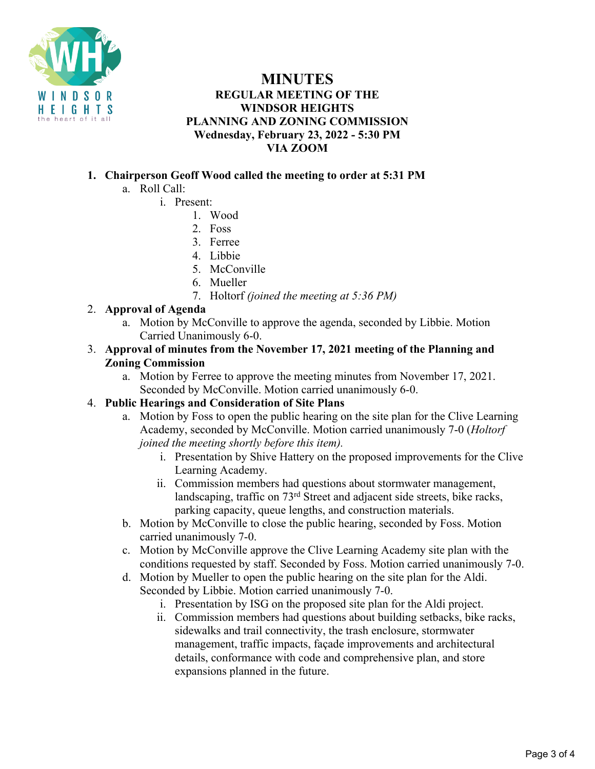

#### **MINUTES REGULAR MEETING OF THE WINDSOR HEIGHTS PLANNING AND ZONING COMMISSION Wednesday, February 23, 2022 - 5:30 PM VIA ZOOM**

## **1. Chairperson Geoff Wood called the meeting to order at 5:31 PM**

- a. Roll Call:
	- i. Present:
		- 1. Wood
		- 2. Foss
		- 3. Ferree
		- 4. Libbie
		- 5. McConville
		- 6. Mueller
		- 7. Holtorf *(joined the meeting at 5:36 PM)*

#### 2. **Approval of Agenda**

- a. Motion by McConville to approve the agenda, seconded by Libbie. Motion Carried Unanimously 6-0.
- 3. **Approval of minutes from the November 17, 2021 meeting of the Planning and Zoning Commission**
	- a. Motion by Ferree to approve the meeting minutes from November 17, 2021. Seconded by McConville. Motion carried unanimously 6-0.

### 4. **Public Hearings and Consideration of Site Plans**

- a. Motion by Foss to open the public hearing on the site plan for the Clive Learning Academy, seconded by McConville. Motion carried unanimously 7-0 (*Holtorf joined the meeting shortly before this item).*
	- i. Presentation by Shive Hattery on the proposed improvements for the Clive Learning Academy.
	- ii. Commission members had questions about stormwater management, landscaping, traffic on 73rd Street and adjacent side streets, bike racks, parking capacity, queue lengths, and construction materials.
- b. Motion by McConville to close the public hearing, seconded by Foss. Motion carried unanimously 7-0.
- c. Motion by McConville approve the Clive Learning Academy site plan with the conditions requested by staff. Seconded by Foss. Motion carried unanimously 7-0.
- d. Motion by Mueller to open the public hearing on the site plan for the Aldi. Seconded by Libbie. Motion carried unanimously 7-0.
	- i. Presentation by ISG on the proposed site plan for the Aldi project.
	- ii. Commission members had questions about building setbacks, bike racks, sidewalks and trail connectivity, the trash enclosure, stormwater management, traffic impacts, façade improvements and architectural details, conformance with code and comprehensive plan, and store expansions planned in the future.